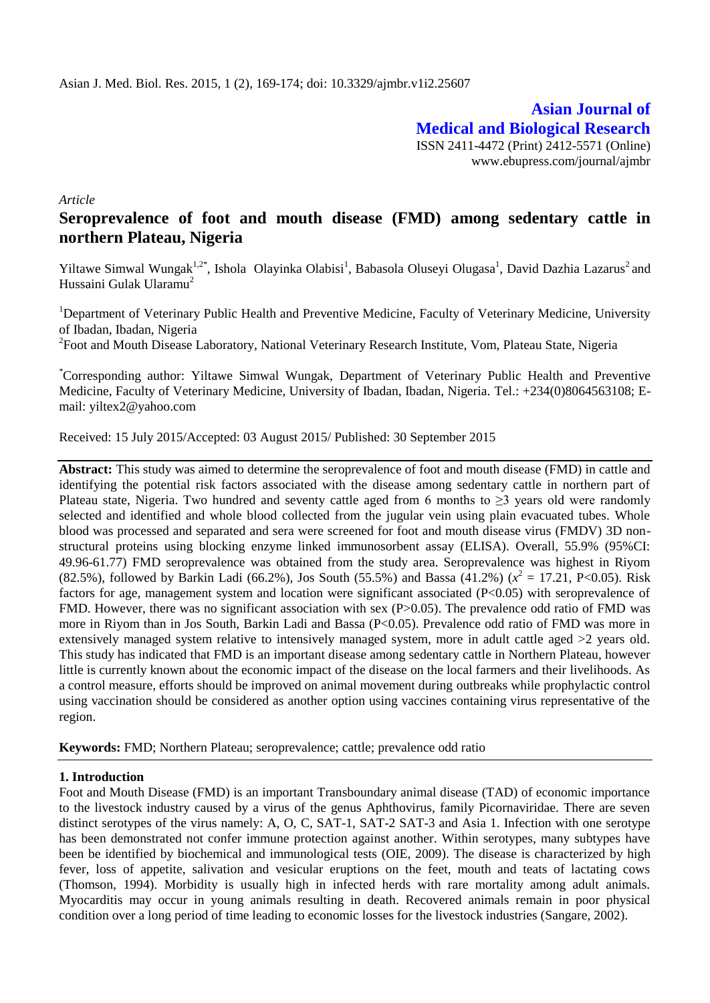**Asian Journal of Medical and Biological Research** ISSN 2411-4472 (Print) 2412-5571 (Online) www.ebupress.com/journal/ajmbr

*Article*

# **Seroprevalence of foot and mouth disease (FMD) among sedentary cattle in northern Plateau, Nigeria**

Yiltawe Simwal Wungak<sup>1,2\*</sup>, Ishola Olayinka Olabisi<sup>1</sup>, Babasola Oluseyi Olugasa<sup>1</sup>, David Dazhia Lazarus<sup>2</sup> and Hussaini Gulak Ularamu<sup>2</sup>

<sup>1</sup>Department of Veterinary Public Health and Preventive Medicine, Faculty of Veterinary Medicine, University of Ibadan, Ibadan, Nigeria

<sup>2</sup> Foot and Mouth Disease Laboratory, National Veterinary Research Institute, Vom, Plateau State, Nigeria

\*Corresponding author: Yiltawe Simwal Wungak, Department of Veterinary Public Health and Preventive Medicine, Faculty of Veterinary Medicine, University of Ibadan, Ibadan, Nigeria. Tel.: +234(0)8064563108; Email: yiltex2@yahoo.com

Received: 15 July 2015/Accepted: 03 August 2015/ Published: 30 September 2015

**Abstract:** This study was aimed to determine the seroprevalence of foot and mouth disease (FMD) in cattle and identifying the potential risk factors associated with the disease among sedentary cattle in northern part of Plateau state, Nigeria. Two hundred and seventy cattle aged from 6 months to  $\geq$ 3 years old were randomly selected and identified and whole blood collected from the jugular vein using plain evacuated tubes. Whole blood was processed and separated and sera were screened for foot and mouth disease virus (FMDV) 3D nonstructural proteins using blocking enzyme linked immunosorbent assay (ELISA). Overall, 55.9% (95%CI: 49.96-61.77) FMD seroprevalence was obtained from the study area. Seroprevalence was highest in Riyom (82.5%), followed by Barkin Ladi (66.2%), Jos South (55.5%) and Bassa (41.2%) ( $x^2 = 17.21$ , P<0.05). Risk factors for age, management system and location were significant associated (P<0.05) with seroprevalence of FMD. However, there was no significant association with sex (P>0.05). The prevalence odd ratio of FMD was more in Riyom than in Jos South, Barkin Ladi and Bassa (P<0.05). Prevalence odd ratio of FMD was more in extensively managed system relative to intensively managed system, more in adult cattle aged >2 years old. This study has indicated that FMD is an important disease among sedentary cattle in Northern Plateau, however little is currently known about the economic impact of the disease on the local farmers and their livelihoods. As a control measure, efforts should be improved on animal movement during outbreaks while prophylactic control using vaccination should be considered as another option using vaccines containing virus representative of the region.

**Keywords:** FMD; Northern Plateau; seroprevalence; cattle; prevalence odd ratio

# **1. Introduction**

Foot and Mouth Disease (FMD) is an important Transboundary animal disease (TAD) of economic importance to the livestock industry caused by a virus of the genus Aphthovirus, family Picornaviridae. There are seven distinct serotypes of the virus namely: A, O, C, SAT-1, SAT-2 SAT-3 and Asia 1. Infection with one serotype has been demonstrated not confer immune protection against another. Within serotypes, many subtypes have been be identified by biochemical and immunological tests (OIE, 2009). The disease is characterized by high fever, loss of appetite, salivation and vesicular eruptions on the feet, mouth and teats of lactating cows (Thomson, 1994). Morbidity is usually high in infected herds with rare mortality among adult animals. Myocarditis may occur in young animals resulting in death. Recovered animals remain in poor physical condition over a long period of time leading to economic losses for the livestock industries (Sangare, 2002).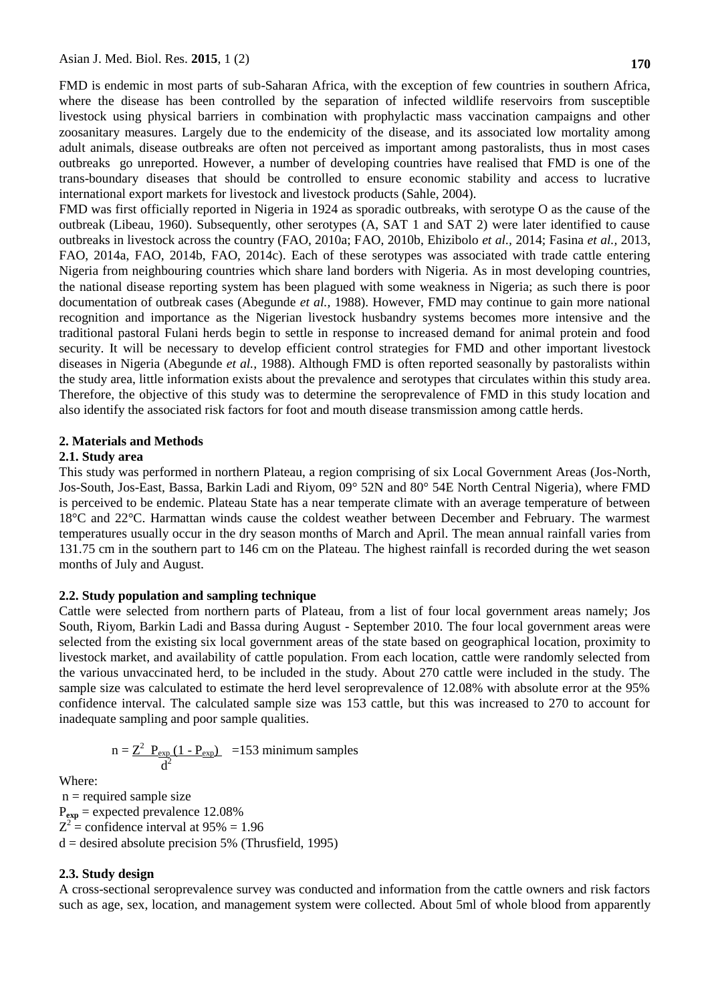FMD is endemic in most parts of sub-Saharan Africa, with the exception of few countries in southern Africa, where the disease has been controlled by the separation of infected wildlife reservoirs from susceptible livestock using physical barriers in combination with prophylactic mass vaccination campaigns and other zoosanitary measures. Largely due to the endemicity of the disease, and its associated low mortality among adult animals, disease outbreaks are often not perceived as important among pastoralists, thus in most cases outbreaks go unreported. However, a number of developing countries have realised that FMD is one of the trans-boundary diseases that should be controlled to ensure economic stability and access to lucrative international export markets for livestock and livestock products (Sahle, 2004).

FMD was first officially reported in Nigeria in 1924 as sporadic outbreaks, with serotype O as the cause of the outbreak (Libeau, 1960). Subsequently, other serotypes (A, SAT 1 and SAT 2) were later identified to cause outbreaks in livestock across the country (FAO, 2010a; FAO, 2010b, Ehizibolo *et al.,* 2014; Fasina *et al.,* 2013, FAO, 2014a, FAO, 2014b, FAO, 2014c). Each of these serotypes was associated with trade cattle entering Nigeria from neighbouring countries which share land borders with Nigeria. As in most developing countries, the national disease reporting system has been plagued with some weakness in Nigeria; as such there is poor documentation of outbreak cases (Abegunde *et al.,* 1988). However, FMD may continue to gain more national recognition and importance as the Nigerian livestock husbandry systems becomes more intensive and the traditional pastoral Fulani herds begin to settle in response to increased demand for animal protein and food security. It will be necessary to develop efficient control strategies for FMD and other important livestock diseases in Nigeria (Abegunde *et al.,* 1988). Although FMD is often reported seasonally by pastoralists within the study area, little information exists about the prevalence and serotypes that circulates within this study area. Therefore, the objective of this study was to determine the seroprevalence of FMD in this study location and also identify the associated risk factors for foot and mouth disease transmission among cattle herds.

### **2. Materials and Methods**

### **2.1. Study area**

This study was performed in northern Plateau, a region comprising of six Local Government Areas (Jos-North, Jos-South, Jos-East, Bassa, Barkin Ladi and Riyom, 09° 52N and 80° 54E North Central Nigeria), where FMD is perceived to be endemic. Plateau State has a near temperate climate with an average temperature of between 18°C and 22°C. Harmattan winds cause the coldest weather between December and February. The warmest temperatures usually occur in the dry season months of March and April. The mean annual rainfall varies from 131.75 cm in the southern part to 146 cm on the Plateau. The highest rainfall is recorded during the wet season months of July and August.

### **2.2. Study population and sampling technique**

Cattle were selected from northern parts of Plateau, from a list of four local government areas namely; Jos South, Riyom, Barkin Ladi and Bassa during August - September 2010. The four local government areas were selected from the existing six local government areas of the state based on geographical location, proximity to livestock market, and availability of cattle population. From each location, cattle were randomly selected from the various unvaccinated herd, to be included in the study. About 270 cattle were included in the study. The sample size was calculated to estimate the herd level seroprevalence of 12.08% with absolute error at the 95% confidence interval. The calculated sample size was 153 cattle, but this was increased to 270 to account for inadequate sampling and poor sample qualities.

$$
n = \frac{Z^2 \ P_{exp}(1 - P_{exp})}{d^2} = 153 \text{ minimum samples}
$$

Where:

 $n =$  required sample size P**exp** = expected prevalence 12.08%  $Z^2$  = confidence interval at 95% = 1.96  $d =$  desired absolute precision 5% (Thrusfield, 1995)

# **2.3. Study design**

A cross-sectional seroprevalence survey was conducted and information from the cattle owners and risk factors such as age, sex, location, and management system were collected. About 5ml of whole blood from apparently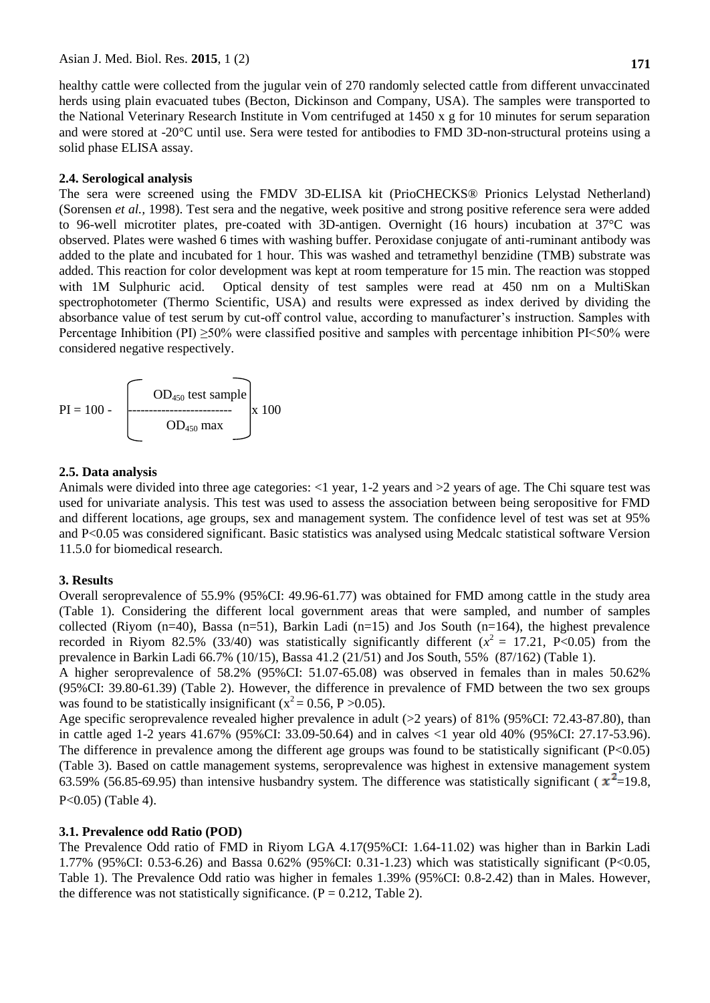healthy cattle were collected from the jugular vein of 270 randomly selected cattle from different unvaccinated herds using plain evacuated tubes (Becton, Dickinson and Company, USA). The samples were transported to the National Veterinary Research Institute in Vom centrifuged at 1450 x g for 10 minutes for serum separation and were stored at -20°C until use. Sera were tested for antibodies to FMD 3D-non-structural proteins using a solid phase ELISA assay.

### **2.4. Serological analysis**

The sera were screened using the FMDV 3D-ELISA kit (PrioCHECKS® Prionics Lelystad Netherland) (Sorensen *et al.,* 1998). Test sera and the negative, week positive and strong positive reference sera were added to 96-well microtiter plates, pre-coated with 3D-antigen. Overnight (16 hours) incubation at 37°C was observed. Plates were washed 6 times with washing buffer. Peroxidase conjugate of anti-ruminant antibody was added to the plate and incubated for 1 hour. This was washed and tetramethyl benzidine (TMB) substrate was added. This reaction for color development was kept at room temperature for 15 min. The reaction was stopped with 1M Sulphuric acid. Optical density of test samples were read at 450 nm on a MultiSkan spectrophotometer (Thermo Scientific, USA) and results were expressed as index derived by dividing the absorbance value of test serum by cut-off control value, according to manufacturer's instruction. Samples with Percentage Inhibition (PI)  $\geq$ 50% were classified positive and samples with percentage inhibition PI<50% were considered negative respectively.

$$
PI = 100 - \underbrace{\begin{bmatrix} OD_{450} \text{ test sample} \\ OD_{450} \text{ max} \end{bmatrix}}_{OD_{450} \text{ max}} x 100
$$

#### **2.5. Data analysis**

Animals were divided into three age categories: <1 year, 1-2 years and >2 years of age. The Chi square test was used for univariate analysis. This test was used to assess the association between being seropositive for FMD and different locations, age groups, sex and management system. The confidence level of test was set at 95% and P<0.05 was considered significant. Basic statistics was analysed using Medcalc statistical software Version 11.5.0 for biomedical research.

### **3. Results**

Overall seroprevalence of 55.9% (95%CI: 49.96-61.77) was obtained for FMD among cattle in the study area (Table 1). Considering the different local government areas that were sampled, and number of samples collected (Riyom  $(n=40)$ , Bassa  $(n=51)$ , Barkin Ladi  $(n=15)$  and Jos South  $(n=164)$ , the highest prevalence recorded in Riyom 82.5% (33/40) was statistically significantly different  $(x^2 = 17.21, P<0.05)$  from the prevalence in Barkin Ladi 66.7% (10/15), Bassa 41.2 (21/51) and Jos South, 55% (87/162) (Table 1).

A higher seroprevalence of 58.2% (95%CI: 51.07-65.08) was observed in females than in males 50.62% (95%CI: 39.80-61.39) (Table 2). However, the difference in prevalence of FMD between the two sex groups was found to be statistically insignificant ( $x^2 = 0.56$ , P > 0.05).

Age specific seroprevalence revealed higher prevalence in adult (>2 years) of 81% (95%CI: 72.43-87.80), than in cattle aged 1-2 years 41.67% (95%CI: 33.09-50.64) and in calves <1 year old 40% (95%CI: 27.17-53.96). The difference in prevalence among the different age groups was found to be statistically significant (P<0.05) (Table 3). Based on cattle management systems, seroprevalence was highest in extensive management system 63.59% (56.85-69.95) than intensive husbandry system. The difference was statistically significant ( $x^2$ =19.8, P<0.05) (Table 4).

### **3.1. Prevalence odd Ratio (POD)**

The Prevalence Odd ratio of FMD in Riyom LGA 4.17(95%CI: 1.64-11.02) was higher than in Barkin Ladi 1.77% (95%CI: 0.53-6.26) and Bassa 0.62% (95%CI: 0.31-1.23) which was statistically significant (P<0.05, Table 1). The Prevalence Odd ratio was higher in females 1.39% (95%CI: 0.8-2.42) than in Males. However, the difference was not statistically significance.  $(P = 0.212,$  Table 2).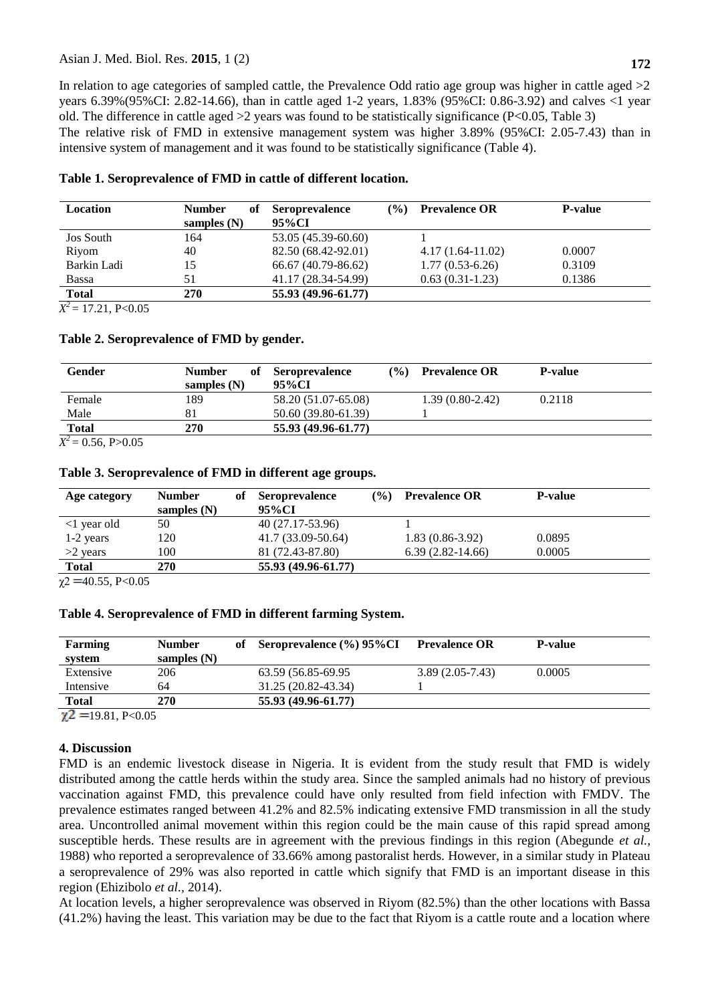# Asian J. Med. Biol. Res. **2015**, 1 (2) **172**

In relation to age categories of sampled cattle, the Prevalence Odd ratio age group was higher in cattle aged  $>2$ years 6.39%(95%CI: 2.82-14.66), than in cattle aged 1-2 years, 1.83% (95%CI: 0.86-3.92) and calves <1 year old. The difference in cattle aged  $>2$  years was found to be statistically significance (P<0.05, Table 3) The relative risk of FMD in extensive management system was higher 3.89% (95%CI: 2.05-7.43) than in intensive system of management and it was found to be statistically significance (Table 4).

| <b>Location</b>          | <b>Number</b><br>оf | <b>Seroprevalence</b> | $($ %) | <b>Prevalence OR</b> | <b>P-value</b> |
|--------------------------|---------------------|-----------------------|--------|----------------------|----------------|
|                          | samples $(N)$       | 95%CI                 |        |                      |                |
| <b>Jos South</b>         | 164                 | 53.05 (45.39-60.60)   |        |                      |                |
| Rivom                    | 40                  | 82.50 (68.42-92.01)   |        | $4.17(1.64-11.02)$   | 0.0007         |
| Barkin Ladi              | 15                  | 66.67 (40.79-86.62)   |        | $1.77(0.53-6.26)$    | 0.3109         |
| <b>Bassa</b>             | 51                  | 41.17 (28.34-54.99)   |        | $0.63(0.31-1.23)$    | 0.1386         |
| <b>Total</b>             | 270                 | 55.93 (49.96-61.77)   |        |                      |                |
| $-2$ $-2$ $-2$ $-2$ $-2$ |                     |                       |        |                      |                |

# **Table 1. Seroprevalence of FMD in cattle of different location.**

 $X^2 = 17.21$ , P<0.05

### **Table 2. Seroprevalence of FMD by gender.**

| Gender                                   | <b>Number</b><br>of | $($ %)<br><b>Seroprevalence</b> | <b>Prevalence OR</b> | <b>P-value</b> |
|------------------------------------------|---------------------|---------------------------------|----------------------|----------------|
|                                          | samples $(N)$       | 95%CI                           |                      |                |
| Female                                   | 189                 | 58.20 (51.07-65.08)             | $1.39(0.80-2.42)$    | 0.2118         |
| Male                                     | 81                  | 50.60 (39.80-61.39)             |                      |                |
| <b>Total</b><br>$\overline{\phantom{a}}$ | 270                 | 55.93 (49.96-61.77)             |                      |                |

 $X^2 = 0.56$ , P>0.05

### **Table 3. Seroprevalence of FMD in different age groups.**

| Age category                                                                                                 | <b>Number</b><br>samples $(N)$ | оť | <b>Seroprevalence</b><br>95%CI | $($ %) | <b>Prevalence OR</b> | <b>P-value</b> |
|--------------------------------------------------------------------------------------------------------------|--------------------------------|----|--------------------------------|--------|----------------------|----------------|
| $\langle$ 1 year old                                                                                         | 50                             |    | 40 (27.17-53.96)               |        |                      |                |
| 1-2 years                                                                                                    | 120                            |    | 41.7 (33.09-50.64)             |        | $1.83(0.86-3.92)$    | 0.0895         |
| $>2$ years                                                                                                   | 100                            |    | 81 (72.43-87.80)               |        | $6.39(2.82-14.66)$   | 0.0005         |
| <b>Total</b>                                                                                                 | 270                            |    | 55.93 (49.96-61.77)            |        |                      |                |
| $\mathbf{A} = \mathbf{A} \mathbf{A} + \mathbf{B} \mathbf{A} + \mathbf{A} \mathbf{A} + \mathbf{A} \mathbf{A}$ |                                |    |                                |        |                      |                |

 $\gamma$ 2 = 40.55, P<0.05

# **Table 4. Seroprevalence of FMD in different farming System.**

| Farming<br>system             | <b>Number</b><br>samples $(N)$ | of Seroprevalence $(\%$ ) 95% CI | <b>Prevalence OR</b> | <b>P-value</b> |
|-------------------------------|--------------------------------|----------------------------------|----------------------|----------------|
| Extensive                     | 206                            | 63.59 (56.85-69.95)              | $3.89(2.05-7.43)$    | 0.0005         |
| Intensive                     | 64                             | 31.25 (20.82-43.34)              |                      |                |
| Total                         | 270                            | 55.93 (49.96-61.77)              |                      |                |
| $\mathbf{a}$ and $\mathbf{a}$ |                                |                                  |                      |                |

 $\chi$ 2 = 19.81, P< 0.05

# **4. Discussion**

FMD is an endemic livestock disease in Nigeria. It is evident from the study result that FMD is widely distributed among the cattle herds within the study area. Since the sampled animals had no history of previous vaccination against FMD, this prevalence could have only resulted from field infection with FMDV. The prevalence estimates ranged between 41.2% and 82.5% indicating extensive FMD transmission in all the study area. Uncontrolled animal movement within this region could be the main cause of this rapid spread among susceptible herds. These results are in agreement with the previous findings in this region (Abegunde *et al.,* 1988) who reported a seroprevalence of 33.66% among pastoralist herds. However, in a similar study in Plateau a seroprevalence of 29% was also reported in cattle which signify that FMD is an important disease in this region (Ehizibolo *et al.,* 2014).

At location levels, a higher seroprevalence was observed in Riyom (82.5%) than the other locations with Bassa (41.2%) having the least. This variation may be due to the fact that Riyom is a cattle route and a location where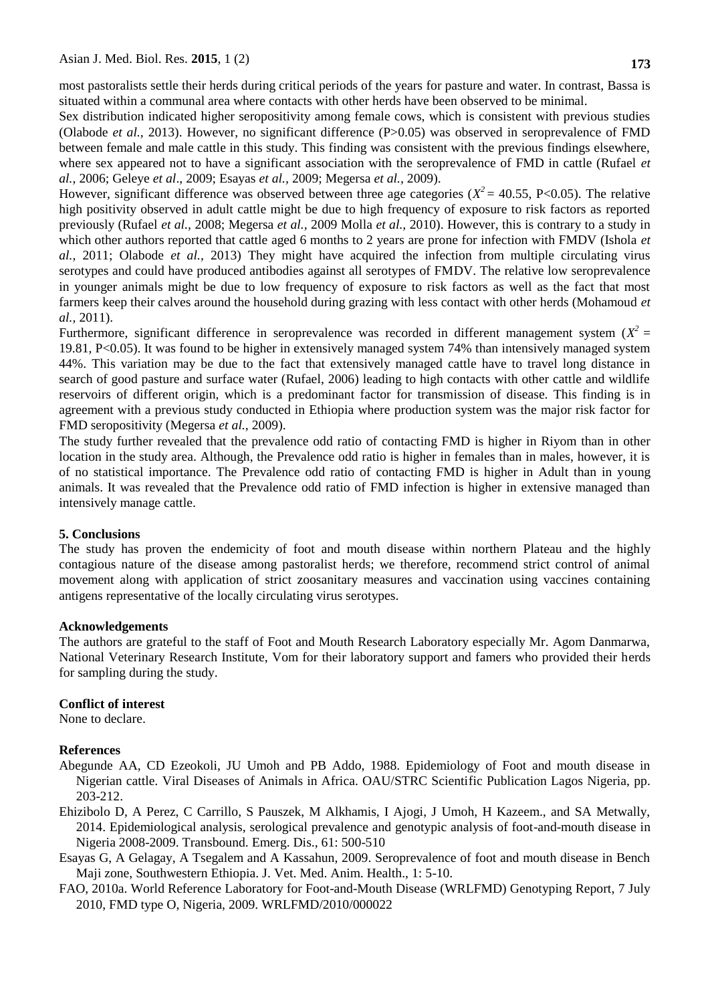most pastoralists settle their herds during critical periods of the years for pasture and water. In contrast, Bassa is situated within a communal area where contacts with other herds have been observed to be minimal.

Sex distribution indicated higher seropositivity among female cows, which is consistent with previous studies (Olabode *et al.,* 2013). However, no significant difference (P>0.05) was observed in seroprevalence of FMD between female and male cattle in this study. This finding was consistent with the previous findings elsewhere, where sex appeared not to have a significant association with the seroprevalence of FMD in cattle (Rufael *et al.,* 2006; Geleye *et al*., 2009; Esayas *et al.,* 2009; Megersa *et al.,* 2009).

However, significant difference was observed between three age categories ( $X^2 = 40.55$ , P<0.05). The relative high positivity observed in adult cattle might be due to high frequency of exposure to risk factors as reported previously (Rufael *et al.,* 2008; Megersa *et al.,* 2009 Molla *et al.,* 2010). However, this is contrary to a study in which other authors reported that cattle aged 6 months to 2 years are prone for infection with FMDV (Ishola *et al.,* 2011; Olabode *et al.,* 2013) They might have acquired the infection from multiple circulating virus serotypes and could have produced antibodies against all serotypes of FMDV. The relative low seroprevalence in younger animals might be due to low frequency of exposure to risk factors as well as the fact that most farmers keep their calves around the household during grazing with less contact with other herds (Mohamoud *et al.,* 2011).

Furthermore, significant difference in seroprevalence was recorded in different management system  $(X^2 =$ 19.81, P<0.05). It was found to be higher in extensively managed system 74% than intensively managed system 44%. This variation may be due to the fact that extensively managed cattle have to travel long distance in search of good pasture and surface water (Rufael, 2006) leading to high contacts with other cattle and wildlife reservoirs of different origin, which is a predominant factor for transmission of disease. This finding is in agreement with a previous study conducted in Ethiopia where production system was the major risk factor for FMD seropositivity (Megersa *et al.,* 2009).

The study further revealed that the prevalence odd ratio of contacting FMD is higher in Riyom than in other location in the study area. Although, the Prevalence odd ratio is higher in females than in males, however, it is of no statistical importance. The Prevalence odd ratio of contacting FMD is higher in Adult than in young animals. It was revealed that the Prevalence odd ratio of FMD infection is higher in extensive managed than intensively manage cattle.

# **5. Conclusions**

The study has proven the endemicity of foot and mouth disease within northern Plateau and the highly contagious nature of the disease among pastoralist herds; we therefore, recommend strict control of animal movement along with application of strict zoosanitary measures and vaccination using vaccines containing antigens representative of the locally circulating virus serotypes.

### **Acknowledgements**

The authors are grateful to the staff of Foot and Mouth Research Laboratory especially Mr. Agom Danmarwa, National Veterinary Research Institute, Vom for their laboratory support and famers who provided their herds for sampling during the study.

# **Conflict of interest**

None to declare.

# **References**

- Abegunde AA, CD Ezeokoli, JU Umoh and PB Addo, 1988. Epidemiology of Foot and mouth disease in Nigerian cattle*.* Viral Diseases of Animals in Africa. OAU/STRC Scientific Publication Lagos Nigeria, pp. 203-212.
- Ehizibolo D, A Perez, C Carrillo, S Pauszek, M Alkhamis, I Ajogi, J Umoh, H Kazeem., and SA Metwally, 2014. Epidemiological analysis, serological prevalence and genotypic analysis of foot-and-mouth disease in Nigeria 2008-2009. Transbound. Emerg. Dis., 61: 500-510
- Esayas G, A Gelagay, A Tsegalem and A Kassahun, 2009. Seroprevalence of foot and mouth disease in Bench Maji zone, Southwestern Ethiopia. J. Vet. Med. Anim. Health., 1: 5-10.
- FAO, 2010a. World Reference Laboratory for Foot-and-Mouth Disease (WRLFMD) Genotyping Report, 7 July 2010, FMD type O, Nigeria, 2009. WRLFMD/2010/000022